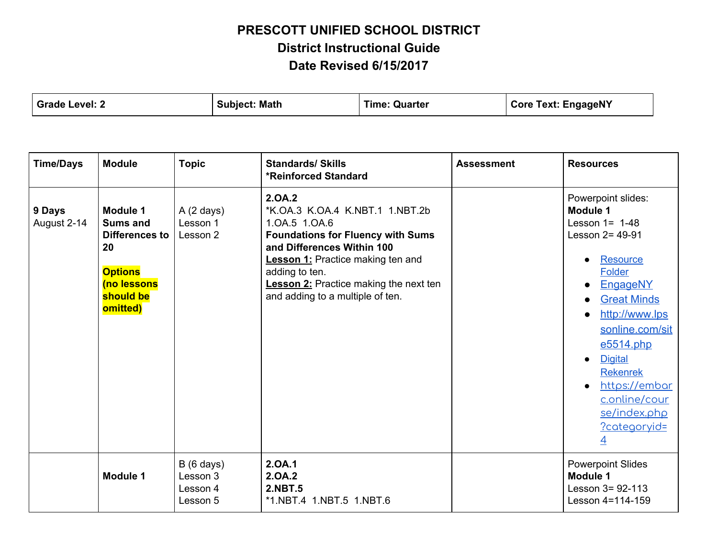| Grade Level: 2 | <b>Subject: Math</b> | <b>Time: Quarter</b> | <b>Core Text: EngageNY</b> |
|----------------|----------------------|----------------------|----------------------------|
|                |                      |                      |                            |

| <b>Time/Days</b>      | <b>Module</b>                                                                                                        | <b>Topic</b>                                            | <b>Standards/ Skills</b><br><b>*Reinforced Standard</b>                                                                                                                                                                                                                                 | <b>Assessment</b> | <b>Resources</b>                                                                                                                                                                                                                                                                                                        |
|-----------------------|----------------------------------------------------------------------------------------------------------------------|---------------------------------------------------------|-----------------------------------------------------------------------------------------------------------------------------------------------------------------------------------------------------------------------------------------------------------------------------------------|-------------------|-------------------------------------------------------------------------------------------------------------------------------------------------------------------------------------------------------------------------------------------------------------------------------------------------------------------------|
| 9 Days<br>August 2-14 | Module 1<br><b>Sums and</b><br><b>Differences to</b><br>20<br><b>Options</b><br>(no lessons<br>should be<br>omitted) | $A(2 \text{ days})$<br>Lesson 1<br>Lesson 2             | 2.0A.2<br>*K.OA.3 K.OA.4 K.NBT.1 1.NBT.2b<br>1.0A.5 1.0A.6<br><b>Foundations for Fluency with Sums</b><br>and Differences Within 100<br><b>Lesson 1:</b> Practice making ten and<br>adding to ten.<br><b>Lesson 2:</b> Practice making the next ten<br>and adding to a multiple of ten. |                   | Powerpoint slides:<br><b>Module 1</b><br>Lesson $1 = 1-48$<br>Lesson 2= 49-91<br>Resource<br><b>Folder</b><br>EngageNY<br><b>Great Minds</b><br>http://www.lps<br>sonline.com/sit<br>e5514.php<br><b>Digital</b><br><b>Rekenrek</b><br>https://embar<br>c.online/cour<br>se/index.php<br>?categoryid=<br>$\overline{4}$ |
|                       | <b>Module 1</b>                                                                                                      | $B(6 \text{ days})$<br>Lesson 3<br>Lesson 4<br>Lesson 5 | 2.0A.1<br>2.0A.2<br><b>2.NBT.5</b><br>*1.NBT.4 1.NBT.5 1.NBT.6                                                                                                                                                                                                                          |                   | <b>Powerpoint Slides</b><br><b>Module 1</b><br>Lesson $3 = 92 - 113$<br>Lesson 4=114-159                                                                                                                                                                                                                                |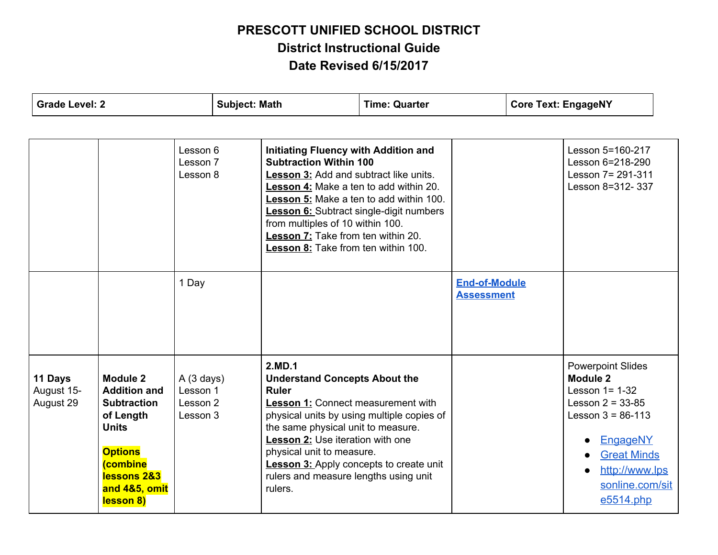| <b>Grade Level: 2</b>              |                                                                                                                                                                                   |                                               | <b>Subject: Math</b> |                                                                                                                                                                                                                                                                                                                                                                                | <b>Time: Quarter</b> |                                           | <b>Core Text: EngageNY</b> |                                                                                                                                                                                                                        |  |
|------------------------------------|-----------------------------------------------------------------------------------------------------------------------------------------------------------------------------------|-----------------------------------------------|----------------------|--------------------------------------------------------------------------------------------------------------------------------------------------------------------------------------------------------------------------------------------------------------------------------------------------------------------------------------------------------------------------------|----------------------|-------------------------------------------|----------------------------|------------------------------------------------------------------------------------------------------------------------------------------------------------------------------------------------------------------------|--|
|                                    |                                                                                                                                                                                   |                                               |                      |                                                                                                                                                                                                                                                                                                                                                                                |                      |                                           |                            |                                                                                                                                                                                                                        |  |
|                                    |                                                                                                                                                                                   | Lesson 6<br>Lesson 7<br>Lesson 8              |                      | <b>Initiating Fluency with Addition and</b><br><b>Subtraction Within 100</b><br>Lesson 3: Add and subtract like units.<br>Lesson 4: Make a ten to add within 20.<br>Lesson 5: Make a ten to add within 100.<br><b>Lesson 6:</b> Subtract single-digit numbers<br>from multiples of 10 within 100.<br>Lesson 7: Take from ten within 20.<br>Lesson 8: Take from ten within 100. |                      |                                           |                            | Lesson 5=160-217<br>Lesson 6=218-290<br>Lesson 7= 291-311<br>Lesson 8=312-337                                                                                                                                          |  |
|                                    |                                                                                                                                                                                   | 1 Day                                         |                      |                                                                                                                                                                                                                                                                                                                                                                                |                      | <b>End-of-Module</b><br><b>Assessment</b> |                            |                                                                                                                                                                                                                        |  |
| 11 Days<br>August 15-<br>August 29 | <b>Module 2</b><br><b>Addition and</b><br><b>Subtraction</b><br>of Length<br><b>Units</b><br><b>Options</b><br><i><b>combine</b></i><br>lessons 2&3<br>and 4&5, omit<br>lesson 8) | A(3 days)<br>Lesson 1<br>Lesson 2<br>Lesson 3 |                      | 2.MD.1<br><b>Understand Concepts About the</b><br><b>Ruler</b><br>Lesson 1: Connect measurement with<br>physical units by using multiple copies of<br>the same physical unit to measure.<br>Lesson 2: Use iteration with one<br>physical unit to measure.<br><b>Lesson 3:</b> Apply concepts to create unit<br>rulers and measure lengths using unit<br>rulers.                |                      |                                           |                            | <b>Powerpoint Slides</b><br>Module 2<br>Lesson $1 = 1-32$<br>Lesson $2 = 33 - 85$<br>Lesson $3 = 86-113$<br>EngageNY<br><b>Great Minds</b><br>$\bullet$<br>http://www.lps<br>$\bullet$<br>sonline.com/sit<br>e5514.php |  |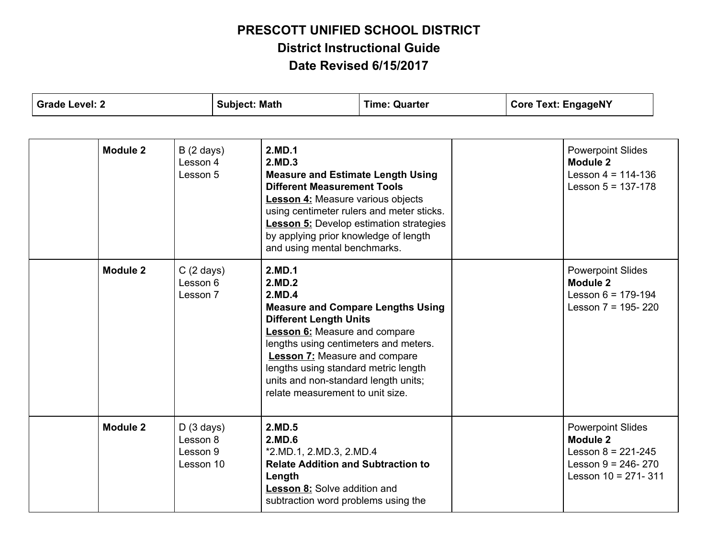| <b>Grade Level: 2</b> |                                                | <b>Subject: Math</b>                                                                                                                                                                                                                                                                                                                                 | <b>Time: Quarter</b> | <b>Core Text: EngageNY</b>                                                                                          |  |
|-----------------------|------------------------------------------------|------------------------------------------------------------------------------------------------------------------------------------------------------------------------------------------------------------------------------------------------------------------------------------------------------------------------------------------------------|----------------------|---------------------------------------------------------------------------------------------------------------------|--|
| <b>Module 2</b>       | $B(2 \text{ days})$<br>Lesson 4                | 2.MD.1<br>2.MD.3                                                                                                                                                                                                                                                                                                                                     |                      | <b>Powerpoint Slides</b><br>Module 2                                                                                |  |
|                       | Lesson 5                                       | <b>Measure and Estimate Length Using</b><br><b>Different Measurement Tools</b><br><b>Lesson 4:</b> Measure various objects<br>using centimeter rulers and meter sticks.<br><b>Lesson 5:</b> Develop estimation strategies<br>by applying prior knowledge of length<br>and using mental benchmarks.                                                   |                      | Lesson $4 = 114 - 136$<br>Lesson $5 = 137-178$                                                                      |  |
| Module 2              | $C(2 \text{ days})$<br>Lesson 6<br>Lesson 7    | 2.MD.1<br>2.MD.2<br>2.MD.4<br><b>Measure and Compare Lengths Using</b><br><b>Different Length Units</b><br><b>Lesson 6:</b> Measure and compare<br>lengths using centimeters and meters.<br><b>Lesson 7:</b> Measure and compare<br>lengths using standard metric length<br>units and non-standard length units;<br>relate measurement to unit size. |                      | <b>Powerpoint Slides</b><br>Module 2<br>Lesson $6 = 179-194$<br>Lesson $7 = 195 - 220$                              |  |
| <b>Module 2</b>       | D(3 days)<br>Lesson 8<br>Lesson 9<br>Lesson 10 | 2.MD.5<br>2.MD.6<br>*2.MD.1, 2.MD.3, 2.MD.4<br><b>Relate Addition and Subtraction to</b><br>Length<br>Lesson 8: Solve addition and<br>subtraction word problems using the                                                                                                                                                                            |                      | <b>Powerpoint Slides</b><br>Module 2<br>Lesson $8 = 221 - 245$<br>Lesson $9 = 246 - 270$<br>Lesson $10 = 271 - 311$ |  |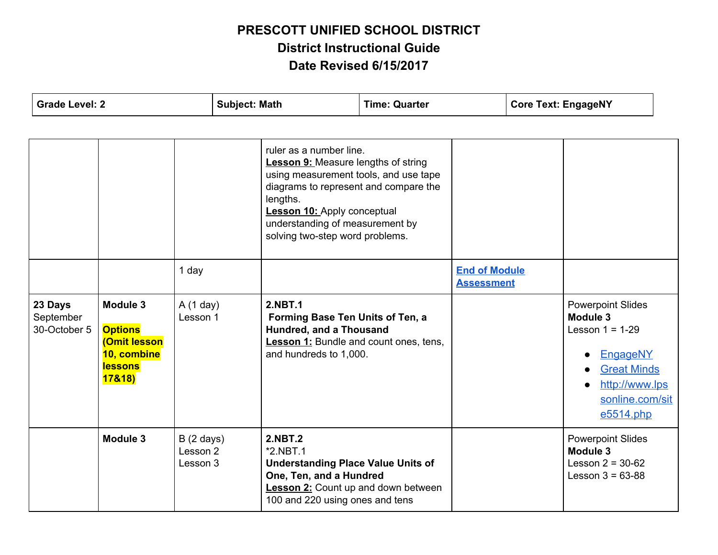| <b>Grade Level: 2</b>                |                                                                                              |                                             | <b>Subject: Math</b> |                                                                                                                                                                                                                                                                                 | <b>Time: Quarter</b> |                                           | <b>Core Text: EngageNY</b>                                                                                                                                                           |  |
|--------------------------------------|----------------------------------------------------------------------------------------------|---------------------------------------------|----------------------|---------------------------------------------------------------------------------------------------------------------------------------------------------------------------------------------------------------------------------------------------------------------------------|----------------------|-------------------------------------------|--------------------------------------------------------------------------------------------------------------------------------------------------------------------------------------|--|
|                                      |                                                                                              | 1 day                                       |                      | ruler as a number line.<br><b>Lesson 9:</b> Measure lengths of string<br>using measurement tools, and use tape<br>diagrams to represent and compare the<br>lengths.<br><b>Lesson 10: Apply conceptual</b><br>understanding of measurement by<br>solving two-step word problems. |                      | <b>End of Module</b><br><b>Assessment</b> |                                                                                                                                                                                      |  |
| 23 Days<br>September<br>30-October 5 | Module 3<br><b>Options</b><br><b>(Omit lesson</b><br>10, combine<br><b>lessons</b><br>17&18) | A(1 day)<br>Lesson 1                        |                      | <b>2.NBT.1</b><br>Forming Base Ten Units of Ten, a<br>Hundred, and a Thousand<br><b>Lesson 1:</b> Bundle and count ones, tens,<br>and hundreds to 1,000.                                                                                                                        |                      |                                           | <b>Powerpoint Slides</b><br>Module 3<br>Lesson $1 = 1-29$<br>EngageNY<br>$\bullet$<br><b>Great Minds</b><br>$\bullet$<br>http://www.lps<br>$\bullet$<br>sonline.com/sit<br>e5514.php |  |
|                                      | Module 3                                                                                     | $B(2 \text{ days})$<br>Lesson 2<br>Lesson 3 |                      | <b>2.NBT.2</b><br>$*2.NBT.1$<br><b>Understanding Place Value Units of</b><br>One, Ten, and a Hundred<br><b>Lesson 2:</b> Count up and down between<br>100 and 220 using ones and tens                                                                                           |                      |                                           | <b>Powerpoint Slides</b><br>Module 3<br>Lesson $2 = 30 - 62$<br>Lesson $3 = 63 - 88$                                                                                                 |  |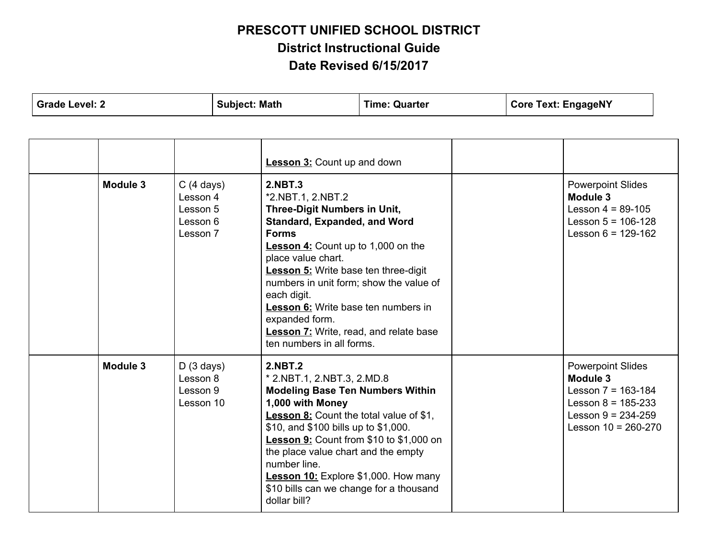| <b>Grade Level: 2</b>                                                           |                                                | <b>Subject: Math</b>                                                                                                                                                                                                                                                                                                                                                                                                            |                                                                                                                                                                                                                                                                                                                                                                                                                   | <b>Time: Quarter</b> | <b>Core Text: EngageNY</b>                                                                                  |                                                                                                                                           |  |
|---------------------------------------------------------------------------------|------------------------------------------------|---------------------------------------------------------------------------------------------------------------------------------------------------------------------------------------------------------------------------------------------------------------------------------------------------------------------------------------------------------------------------------------------------------------------------------|-------------------------------------------------------------------------------------------------------------------------------------------------------------------------------------------------------------------------------------------------------------------------------------------------------------------------------------------------------------------------------------------------------------------|----------------------|-------------------------------------------------------------------------------------------------------------|-------------------------------------------------------------------------------------------------------------------------------------------|--|
|                                                                                 |                                                |                                                                                                                                                                                                                                                                                                                                                                                                                                 |                                                                                                                                                                                                                                                                                                                                                                                                                   |                      |                                                                                                             |                                                                                                                                           |  |
|                                                                                 |                                                |                                                                                                                                                                                                                                                                                                                                                                                                                                 | <b>Lesson 3: Count up and down</b>                                                                                                                                                                                                                                                                                                                                                                                |                      |                                                                                                             |                                                                                                                                           |  |
| Module 3<br>$C(4 \text{ days})$<br>Lesson 4<br>Lesson 5<br>Lesson 6<br>Lesson 7 |                                                | 2.NBT.3<br>*2.NBT.1, 2.NBT.2<br>Three-Digit Numbers in Unit,<br><b>Standard, Expanded, and Word</b><br><b>Forms</b><br><b>Lesson 4:</b> Count up to 1,000 on the<br>place value chart.<br><b>Lesson 5:</b> Write base ten three-digit<br>numbers in unit form; show the value of<br>each digit.<br>Lesson 6: Write base ten numbers in<br>expanded form.<br>Lesson 7: Write, read, and relate base<br>ten numbers in all forms. |                                                                                                                                                                                                                                                                                                                                                                                                                   |                      | <b>Powerpoint Slides</b><br>Module 3<br>Lesson $4 = 89-105$<br>Lesson $5 = 106-128$<br>Lesson $6 = 129-162$ |                                                                                                                                           |  |
| Module 3                                                                        | D(3 days)<br>Lesson 8<br>Lesson 9<br>Lesson 10 |                                                                                                                                                                                                                                                                                                                                                                                                                                 | <b>2.NBT.2</b><br>* 2.NBT.1, 2.NBT.3, 2.MD.8<br><b>Modeling Base Ten Numbers Within</b><br>1,000 with Money<br><b>Lesson 8:</b> Count the total value of \$1,<br>\$10, and \$100 bills up to \$1,000.<br>Lesson 9: Count from \$10 to \$1,000 on<br>the place value chart and the empty<br>number line.<br><b>Lesson 10:</b> Explore \$1,000. How many<br>\$10 bills can we change for a thousand<br>dollar bill? |                      |                                                                                                             | <b>Powerpoint Slides</b><br>Module 3<br>Lesson $7 = 163 - 184$<br>Lesson $8 = 185-233$<br>Lesson $9 = 234 - 259$<br>Lesson $10 = 260-270$ |  |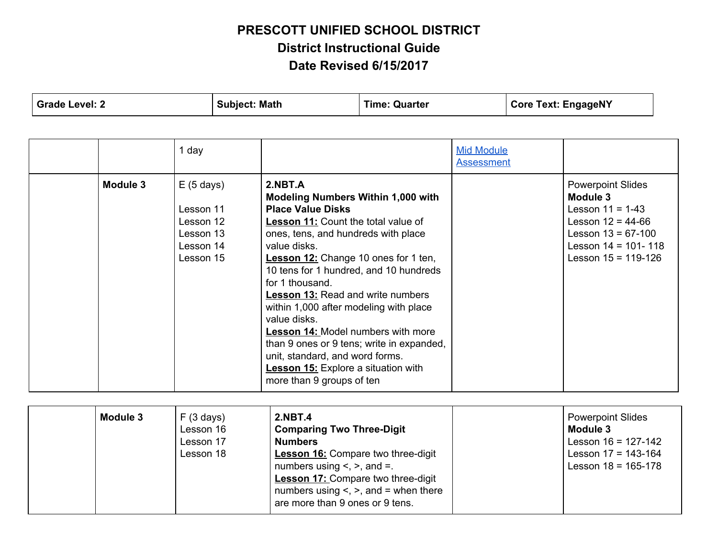| <b>Grade Level: 2</b> |                                                                                               | <b>Subject: Math</b>                                                                                                                                                                                                                                                                                                                                                                                   | <b>Time: Quarter</b> |                                        | <b>Core Text: EngageNY</b> |                                                                                                                                                               |  |
|-----------------------|-----------------------------------------------------------------------------------------------|--------------------------------------------------------------------------------------------------------------------------------------------------------------------------------------------------------------------------------------------------------------------------------------------------------------------------------------------------------------------------------------------------------|----------------------|----------------------------------------|----------------------------|---------------------------------------------------------------------------------------------------------------------------------------------------------------|--|
| Module 3              | 1 day<br>$E(5 \text{ days})$<br>Lesson 11<br>Lesson 12<br>Lesson 13<br>Lesson 14<br>Lesson 15 | 2.NBT.A<br><b>Modeling Numbers Within 1,000 with</b><br><b>Place Value Disks</b><br><b>Lesson 11:</b> Count the total value of<br>ones, tens, and hundreds with place<br>value disks<br><b>Lesson 12:</b> Change 10 ones for 1 ten,<br>10 tens for 1 hundred, and 10 hundreds<br>for 1 thousand.<br><b>Lesson 13: Read and write numbers</b><br>within 1,000 after modeling with place<br>value disks. |                      | <b>Mid Module</b><br><b>Assessment</b> |                            | <b>Powerpoint Slides</b><br>Module 3<br>Lesson $11 = 1-43$<br>Lesson $12 = 44-66$<br>Lesson $13 = 67-100$<br>Lesson $14 = 101 - 118$<br>Lesson $15 = 119-126$ |  |
|                       |                                                                                               | <b>Lesson 14: Model numbers with more</b><br>than 9 ones or 9 tens; write in expanded,<br>unit, standard, and word forms.<br><b>Lesson 15:</b> Explore a situation with<br>more than 9 groups of ten                                                                                                                                                                                                   |                      |                                        |                            |                                                                                                                                                               |  |

| Module 3 | F(3 days)<br>Lesson 16<br>Lesson 17<br>Lesson 18 | <b>2.NBT.4</b><br><b>Comparing Two Three-Digit</b><br><b>Numbers</b><br><b>Lesson 16:</b> Compare two three-digit<br>numbers using $\leq$ , $\geq$ , and $\equiv$ .<br><b>Lesson 17: Compare two three-digit</b><br>numbers using $\leq$ , $\geq$ , and = when there<br>are more than 9 ones or 9 tens. |  | <b>Powerpoint Slides</b><br>Module 3<br>Lesson $16 = 127-142$<br>Lesson $17 = 143 - 164$<br>Lesson $18 = 165-178$ |
|----------|--------------------------------------------------|---------------------------------------------------------------------------------------------------------------------------------------------------------------------------------------------------------------------------------------------------------------------------------------------------------|--|-------------------------------------------------------------------------------------------------------------------|
|----------|--------------------------------------------------|---------------------------------------------------------------------------------------------------------------------------------------------------------------------------------------------------------------------------------------------------------------------------------------------------------|--|-------------------------------------------------------------------------------------------------------------------|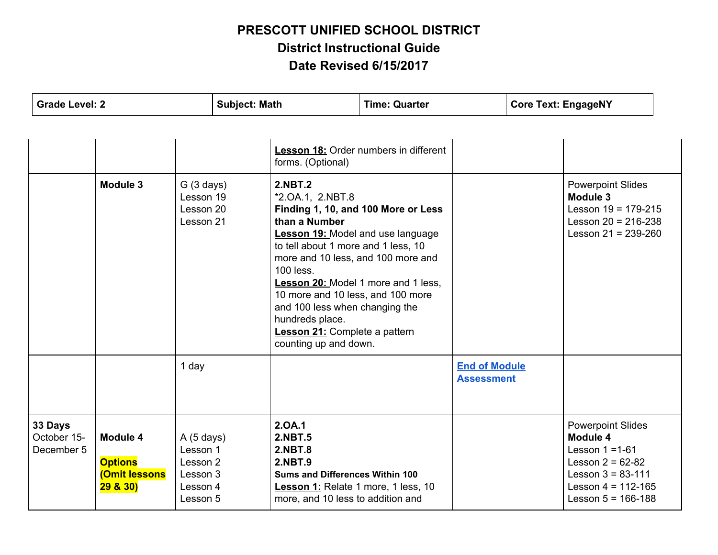|                                      | <b>Grade Level: 2</b>                                   |                                                                       | <b>Subject: Math</b>                                                                                                                                                                                                                                                                                                                                 | <b>Time: Quarter</b>                                                       | <b>Core Text: EngageNY</b>                |  |                                                                                                                                                              |  |
|--------------------------------------|---------------------------------------------------------|-----------------------------------------------------------------------|------------------------------------------------------------------------------------------------------------------------------------------------------------------------------------------------------------------------------------------------------------------------------------------------------------------------------------------------------|----------------------------------------------------------------------------|-------------------------------------------|--|--------------------------------------------------------------------------------------------------------------------------------------------------------------|--|
|                                      |                                                         |                                                                       | forms. (Optional)                                                                                                                                                                                                                                                                                                                                    | <b>Lesson 18:</b> Order numbers in different                               |                                           |  |                                                                                                                                                              |  |
| Module 3                             |                                                         | G(3 days)<br>Lesson 19<br>Lesson 20<br>Lesson 21                      | <b>2.NBT.2</b><br>*2.0A.1, 2.NBT.8<br>than a Number<br><b>Lesson 19: Model and use language</b><br>to tell about 1 more and 1 less, 10<br>more and 10 less, and 100 more and<br>100 less.<br>10 more and 10 less, and 100 more<br>and 100 less when changing the<br>hundreds place.<br><b>Lesson 21:</b> Complete a pattern<br>counting up and down. | Finding 1, 10, and 100 More or Less<br>Lesson 20: Model 1 more and 1 less. |                                           |  | <b>Powerpoint Slides</b><br><b>Module 3</b><br>Lesson $19 = 179-215$<br>Lesson $20 = 216 - 238$<br>Lesson $21 = 239 - 260$                                   |  |
|                                      |                                                         | 1 day                                                                 |                                                                                                                                                                                                                                                                                                                                                      |                                                                            | <b>End of Module</b><br><b>Assessment</b> |  |                                                                                                                                                              |  |
| 33 Days<br>October 15-<br>December 5 | Module 4<br><b>Options</b><br>(Omit lessons<br>29 & 30) | A(5 days)<br>Lesson 1<br>Lesson 2<br>Lesson 3<br>Lesson 4<br>Lesson 5 | 2.0A.1<br><b>2.NBT.5</b><br><b>2.NBT.8</b><br><b>2.NBT.9</b><br><b>Sums and Differences Within 100</b><br>Lesson 1: Relate 1 more, 1 less, 10<br>more, and 10 less to addition and                                                                                                                                                                   |                                                                            |                                           |  | <b>Powerpoint Slides</b><br>Module 4<br>Lesson $1 = 1-61$<br>Lesson $2 = 62 - 82$<br>Lesson $3 = 83 - 111$<br>Lesson $4 = 112 - 165$<br>Lesson $5 = 166-188$ |  |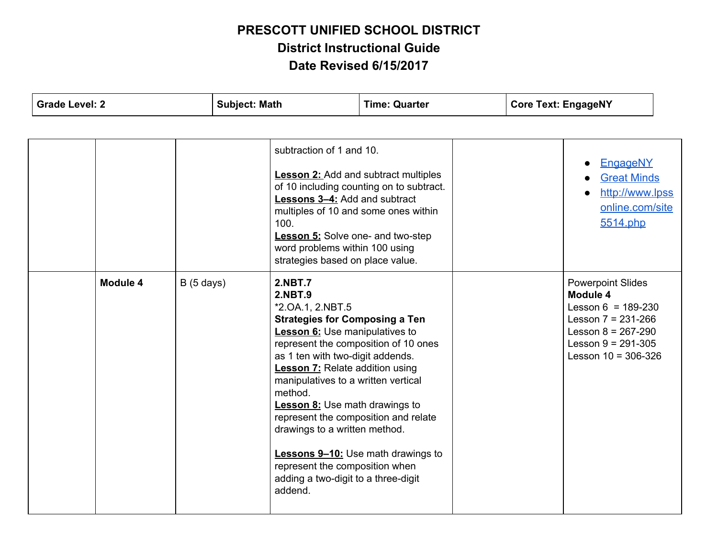| <b>Grade Level: 2</b> |          |           | <b>Subject: Math</b> |                                                                                                                                                                                                                                                                                                                                                                                                                                                                                                                      | <b>Time: Quarter</b>                                                                    | <b>Core Text: EngageNY</b> |  |                                                                                                                                                                       |  |
|-----------------------|----------|-----------|----------------------|----------------------------------------------------------------------------------------------------------------------------------------------------------------------------------------------------------------------------------------------------------------------------------------------------------------------------------------------------------------------------------------------------------------------------------------------------------------------------------------------------------------------|-----------------------------------------------------------------------------------------|----------------------------|--|-----------------------------------------------------------------------------------------------------------------------------------------------------------------------|--|
|                       |          |           |                      |                                                                                                                                                                                                                                                                                                                                                                                                                                                                                                                      |                                                                                         |                            |  |                                                                                                                                                                       |  |
|                       |          |           |                      | subtraction of 1 and 10.<br><b>Lessons 3-4:</b> Add and subtract<br>multiples of 10 and some ones within<br>100.<br><b>Lesson 5:</b> Solve one- and two-step<br>word problems within 100 using<br>strategies based on place value.                                                                                                                                                                                                                                                                                   | <b>Lesson 2:</b> Add and subtract multiples<br>of 10 including counting on to subtract. |                            |  | EngageNY<br><b>Great Minds</b><br>http://www.lpss<br>online.com/site<br>5514.php                                                                                      |  |
|                       | Module 4 | B(5 days) |                      | <b>2.NBT.7</b><br><b>2.NBT.9</b><br>*2.0A.1, 2.NBT.5<br><b>Strategies for Composing a Ten</b><br><b>Lesson 6:</b> Use manipulatives to<br>represent the composition of 10 ones<br>as 1 ten with two-digit addends.<br><b>Lesson 7:</b> Relate addition using<br>manipulatives to a written vertical<br>method.<br><b>Lesson 8:</b> Use math drawings to<br>represent the composition and relate<br>drawings to a written method.<br>represent the composition when<br>adding a two-digit to a three-digit<br>addend. | Lessons 9-10: Use math drawings to                                                      |                            |  | <b>Powerpoint Slides</b><br>Module 4<br>Lesson $6 = 189-230$<br>Lesson $7 = 231 - 266$<br>Lesson $8 = 267 - 290$<br>Lesson $9 = 291 - 305$<br>Lesson $10 = 306 - 326$ |  |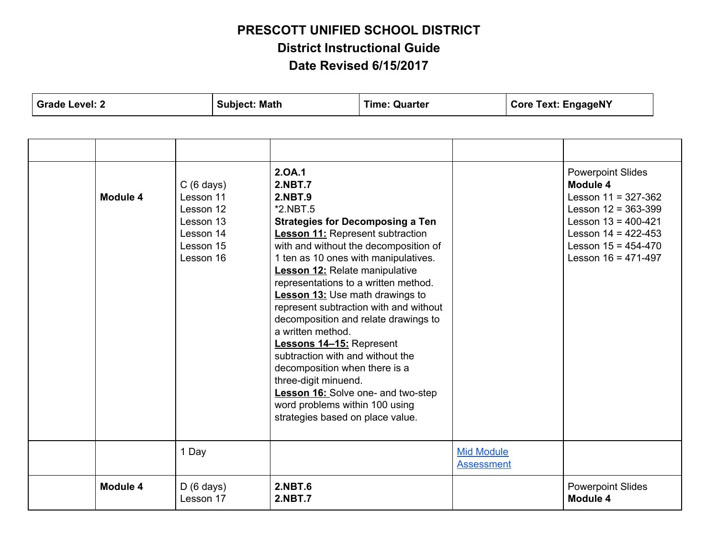| <b>Grade Level: 2</b>                                                                                         | <b>Subject: Math</b> |                                                                                                                                                                                                                                                                                                                                                                                                                                                                                                   | <b>Time: Quarter</b>                                                                                                                                                                                            |                                        | <b>Core Text: EngageNY</b> |                                                                                                                                                                                                      |  |
|---------------------------------------------------------------------------------------------------------------|----------------------|---------------------------------------------------------------------------------------------------------------------------------------------------------------------------------------------------------------------------------------------------------------------------------------------------------------------------------------------------------------------------------------------------------------------------------------------------------------------------------------------------|-----------------------------------------------------------------------------------------------------------------------------------------------------------------------------------------------------------------|----------------------------------------|----------------------------|------------------------------------------------------------------------------------------------------------------------------------------------------------------------------------------------------|--|
|                                                                                                               |                      |                                                                                                                                                                                                                                                                                                                                                                                                                                                                                                   |                                                                                                                                                                                                                 |                                        |                            |                                                                                                                                                                                                      |  |
| $C(6 \text{ days})$<br>Module 4<br>Lesson 11<br>Lesson 12<br>Lesson 13<br>Lesson 14<br>Lesson 15<br>Lesson 16 |                      | 2.0A.1<br><b>2.NBT.7</b><br><b>2.NBT.9</b><br>$*2.NBT.5$<br><b>Lesson 11: Represent subtraction</b><br>1 ten as 10 ones with manipulatives.<br><b>Lesson 12:</b> Relate manipulative<br>representations to a written method.<br><b>Lesson 13: Use math drawings to</b><br>a written method.<br><b>Lessons 14-15: Represent</b><br>subtraction with and without the<br>decomposition when there is a<br>three-digit minuend.<br>word problems within 100 using<br>strategies based on place value. | <b>Strategies for Decomposing a Ten</b><br>with and without the decomposition of<br>represent subtraction with and without<br>decomposition and relate drawings to<br><b>Lesson 16:</b> Solve one- and two-step |                                        |                            | <b>Powerpoint Slides</b><br>Module 4<br>Lesson $11 = 327 - 362$<br>Lesson $12 = 363 - 399$<br>Lesson $13 = 400 - 421$<br>Lesson $14 = 422 - 453$<br>Lesson $15 = 454 - 470$<br>Lesson $16 = 471-497$ |  |
| 1 Day                                                                                                         |                      |                                                                                                                                                                                                                                                                                                                                                                                                                                                                                                   |                                                                                                                                                                                                                 | <b>Mid Module</b><br><b>Assessment</b> |                            |                                                                                                                                                                                                      |  |
| Module 4<br>$D(6 \text{ days})$<br>Lesson 17                                                                  |                      | <b>2.NBT.6</b><br><b>2.NBT.7</b>                                                                                                                                                                                                                                                                                                                                                                                                                                                                  |                                                                                                                                                                                                                 |                                        |                            | <b>Powerpoint Slides</b><br>Module 4                                                                                                                                                                 |  |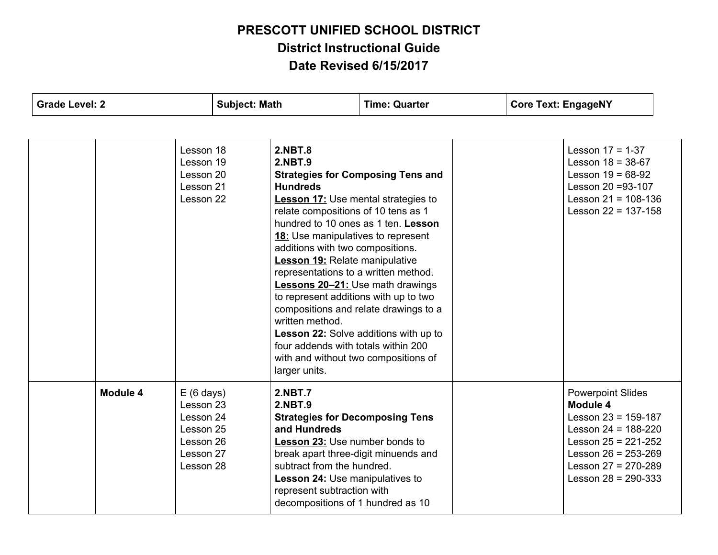| <b>Grade Level: 2</b> | <b>Subject: Math</b>                                                                              |                                                                                                                                                                                                                                                                                                                                                                                                                                                                                                            | <b>Time: Quarter</b>                                                                                                                                                     | <b>Core Text: EngageNY</b>                                                                                                                                                                           |  |
|-----------------------|---------------------------------------------------------------------------------------------------|------------------------------------------------------------------------------------------------------------------------------------------------------------------------------------------------------------------------------------------------------------------------------------------------------------------------------------------------------------------------------------------------------------------------------------------------------------------------------------------------------------|--------------------------------------------------------------------------------------------------------------------------------------------------------------------------|------------------------------------------------------------------------------------------------------------------------------------------------------------------------------------------------------|--|
|                       |                                                                                                   |                                                                                                                                                                                                                                                                                                                                                                                                                                                                                                            |                                                                                                                                                                          |                                                                                                                                                                                                      |  |
|                       | Lesson 18<br>Lesson 19<br>Lesson 20<br>Lesson 21<br>Lesson 22                                     | <b>2.NBT.8</b><br><b>2.NBT.9</b><br><b>Hundreds</b><br><b>Lesson 17:</b> Use mental strategies to<br>relate compositions of 10 tens as 1<br>18: Use manipulatives to represent<br>additions with two compositions.<br><b>Lesson 19:</b> Relate manipulative<br>representations to a written method.<br><b>Lessons 20-21: Use math drawings</b><br>to represent additions with up to two<br>written method.<br>four addends with totals within 200<br>with and without two compositions of<br>larger units. | <b>Strategies for Composing Tens and</b><br>hundred to 10 ones as 1 ten. Lesson<br>compositions and relate drawings to a<br><b>Lesson 22:</b> Solve additions with up to | Lesson $17 = 1-37$<br>Lesson $18 = 38-67$<br>Lesson $19 = 68-92$<br>Lesson 20 = 93-107<br>Lesson $21 = 108 - 136$<br>Lesson $22 = 137 - 158$                                                         |  |
| Module 4              | $E(6 \text{ days})$<br>Lesson 23<br>Lesson 24<br>Lesson 25<br>Lesson 26<br>Lesson 27<br>Lesson 28 | <b>2.NBT.7</b><br><b>2.NBT.9</b><br><b>Strategies for Decomposing Tens</b><br>and Hundreds<br><b>Lesson 23: Use number bonds to</b><br>break apart three-digit minuends and<br>subtract from the hundred.<br><b>Lesson 24:</b> Use manipulatives to<br>represent subtraction with<br>decompositions of 1 hundred as 10                                                                                                                                                                                     |                                                                                                                                                                          | <b>Powerpoint Slides</b><br>Module 4<br>Lesson $23 = 159-187$<br>Lesson $24 = 188 - 220$<br>Lesson $25 = 221 - 252$<br>Lesson $26 = 253 - 269$<br>Lesson $27 = 270 - 289$<br>Lesson $28 = 290 - 333$ |  |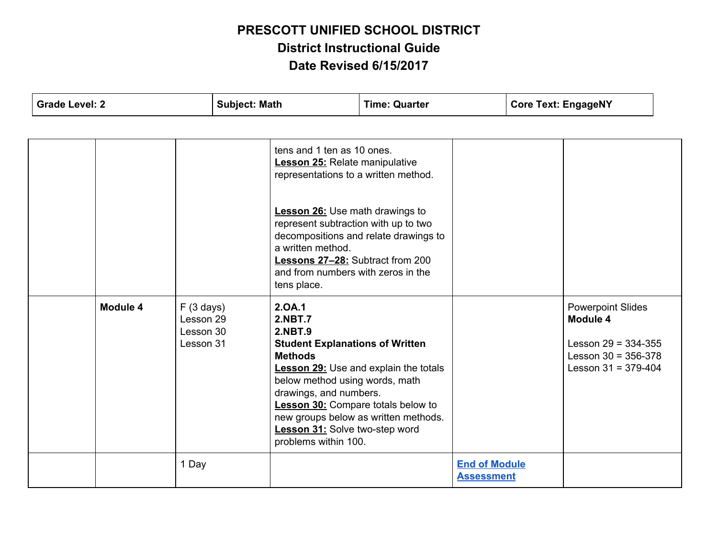| <b>Grade Level: 2</b> |          | <b>Subject: Math</b>                             | <b>Time: Quarter</b>                                                                                                                                                                                                                                                                                                                  |                                                                                      | <b>Core Text: EngageNY</b>                |  |                                                                                                                   |  |
|-----------------------|----------|--------------------------------------------------|---------------------------------------------------------------------------------------------------------------------------------------------------------------------------------------------------------------------------------------------------------------------------------------------------------------------------------------|--------------------------------------------------------------------------------------|-------------------------------------------|--|-------------------------------------------------------------------------------------------------------------------|--|
|                       |          |                                                  |                                                                                                                                                                                                                                                                                                                                       |                                                                                      |                                           |  |                                                                                                                   |  |
|                       |          |                                                  | tens and 1 ten as 10 ones.<br><b>Lesson 25:</b> Relate manipulative<br>representations to a written method.<br><b>Lesson 26:</b> Use math drawings to<br>represent subtraction with up to two<br>decompositions and relate drawings to<br>a written method.<br>Lessons 27-28: Subtract from 200<br>and from numbers with zeros in the |                                                                                      |                                           |  |                                                                                                                   |  |
|                       |          |                                                  | tens place.                                                                                                                                                                                                                                                                                                                           |                                                                                      |                                           |  |                                                                                                                   |  |
|                       | Module 4 | F(3 days)<br>Lesson 29<br>Lesson 30<br>Lesson 31 | 2.0A.1<br><b>2.NBT.7</b><br><b>2.NBT.9</b><br><b>Student Explanations of Written</b><br><b>Methods</b><br>below method using words, math<br>drawings, and numbers.<br><b>Lesson 30:</b> Compare totals below to<br>Lesson 31: Solve two-step word<br>problems within 100.                                                             | <b>Lesson 29:</b> Use and explain the totals<br>new groups below as written methods. |                                           |  | <b>Powerpoint Slides</b><br>Module 4<br>Lesson $29 = 334 - 355$<br>Lesson $30 = 356-378$<br>Lesson $31 = 379-404$ |  |
|                       |          | 1 Day                                            |                                                                                                                                                                                                                                                                                                                                       |                                                                                      | <b>End of Module</b><br><b>Assessment</b> |  |                                                                                                                   |  |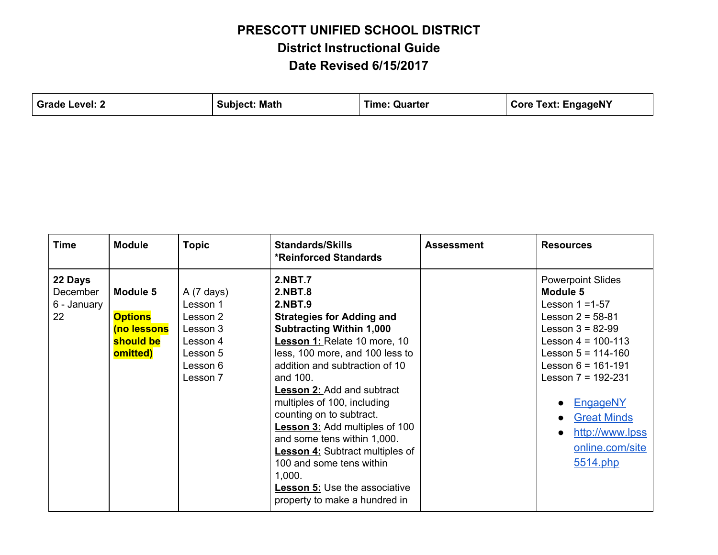| Grade Level: 2 | <b>Subject: Math</b> | <b>Time: Quarter</b> | <b>Core Text: EngageNY</b> |
|----------------|----------------------|----------------------|----------------------------|
|                |                      |                      |                            |

| <b>Time</b>                              | <b>Module</b>                                                      | <b>Topic</b>                                                                                            | <b>Standards/Skills</b><br><b>*Reinforced Standards</b>                                                                                                                                                                                                                                                                                                                                                                                                                                                                                                                            | <b>Assessment</b> | <b>Resources</b>                                                                                                                                                                                                                                                                                                                              |
|------------------------------------------|--------------------------------------------------------------------|---------------------------------------------------------------------------------------------------------|------------------------------------------------------------------------------------------------------------------------------------------------------------------------------------------------------------------------------------------------------------------------------------------------------------------------------------------------------------------------------------------------------------------------------------------------------------------------------------------------------------------------------------------------------------------------------------|-------------------|-----------------------------------------------------------------------------------------------------------------------------------------------------------------------------------------------------------------------------------------------------------------------------------------------------------------------------------------------|
| 22 Days<br>December<br>6 - January<br>22 | Module 5<br><b>Options</b><br>(no lessons<br>should be<br>omitted) | $A(7 \text{ days})$<br>Lesson 1<br>Lesson 2<br>Lesson 3<br>Lesson 4<br>Lesson 5<br>Lesson 6<br>Lesson 7 | <b>2.NBT.7</b><br><b>2.NBT.8</b><br><b>2.NBT.9</b><br><b>Strategies for Adding and</b><br><b>Subtracting Within 1,000</b><br><b>Lesson 1: Relate 10 more, 10</b><br>less, 100 more, and 100 less to<br>addition and subtraction of 10<br>and 100.<br><b>Lesson 2: Add and subtract</b><br>multiples of 100, including<br>counting on to subtract.<br><b>Lesson 3:</b> Add multiples of 100<br>and some tens within 1,000.<br><b>Lesson 4:</b> Subtract multiples of<br>100 and some tens within<br>1,000.<br><b>Lesson 5: Use the associative</b><br>property to make a hundred in |                   | <b>Powerpoint Slides</b><br>Module 5<br>Lesson $1 = 1-57$<br>Lesson $2 = 58-81$<br>Lesson $3 = 82-99$<br>Lesson $4 = 100-113$<br>Lesson $5 = 114 - 160$<br>Lesson $6 = 161 - 191$<br>Lesson $7 = 192 - 231$<br><b>EngageNY</b><br>$\bullet$<br><b>Great Minds</b><br>$\bullet$<br>http://www.lpss<br>$\bullet$<br>online.com/site<br>5514.php |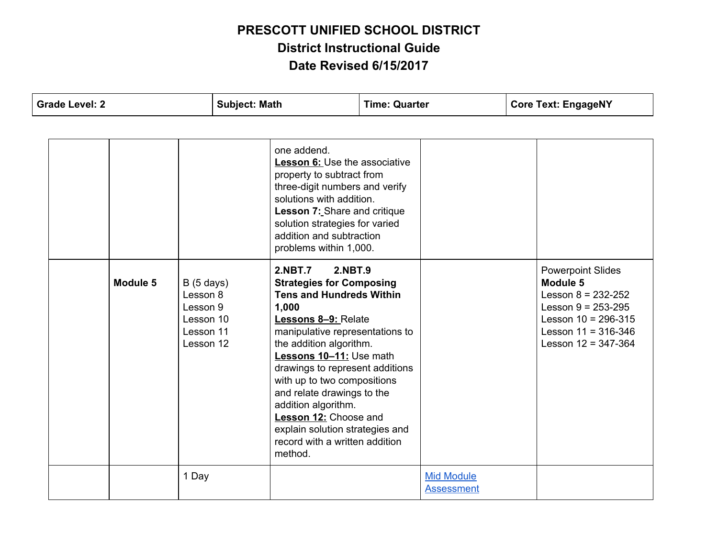| <b>Grade Level: 2</b> |  |          | <b>Subject: Math</b><br><b>Time: Quarter</b>                             |  | <b>Core Text: EngageNY</b>                                                                                                                                                                                                                                                                                                                                                                                                                                                    |  |                                        |  |                                                                                                                                                                           |
|-----------------------|--|----------|--------------------------------------------------------------------------|--|-------------------------------------------------------------------------------------------------------------------------------------------------------------------------------------------------------------------------------------------------------------------------------------------------------------------------------------------------------------------------------------------------------------------------------------------------------------------------------|--|----------------------------------------|--|---------------------------------------------------------------------------------------------------------------------------------------------------------------------------|
|                       |  |          |                                                                          |  |                                                                                                                                                                                                                                                                                                                                                                                                                                                                               |  |                                        |  |                                                                                                                                                                           |
|                       |  |          |                                                                          |  | one addend.<br><b>Lesson 6: Use the associative</b><br>property to subtract from<br>three-digit numbers and verify<br>solutions with addition.<br>Lesson 7: Share and critique<br>solution strategies for varied<br>addition and subtraction<br>problems within 1,000.                                                                                                                                                                                                        |  |                                        |  |                                                                                                                                                                           |
|                       |  | Module 5 | B(5 days)<br>Lesson 8<br>Lesson 9<br>Lesson 10<br>Lesson 11<br>Lesson 12 |  | <b>2.NBT.7</b><br><b>2.NBT.9</b><br><b>Strategies for Composing</b><br><b>Tens and Hundreds Within</b><br>1,000<br><b>Lessons 8-9: Relate</b><br>manipulative representations to<br>the addition algorithm.<br>Lessons 10-11: Use math<br>drawings to represent additions<br>with up to two compositions<br>and relate drawings to the<br>addition algorithm.<br><b>Lesson 12:</b> Choose and<br>explain solution strategies and<br>record with a written addition<br>method. |  |                                        |  | <b>Powerpoint Slides</b><br>Module 5<br>Lesson $8 = 232 - 252$<br>Lesson $9 = 253 - 295$<br>Lesson $10 = 296 - 315$<br>Lesson $11 = 316 - 346$<br>Lesson $12 = 347 - 364$ |
|                       |  |          | 1 Day                                                                    |  |                                                                                                                                                                                                                                                                                                                                                                                                                                                                               |  | <b>Mid Module</b><br><b>Assessment</b> |  |                                                                                                                                                                           |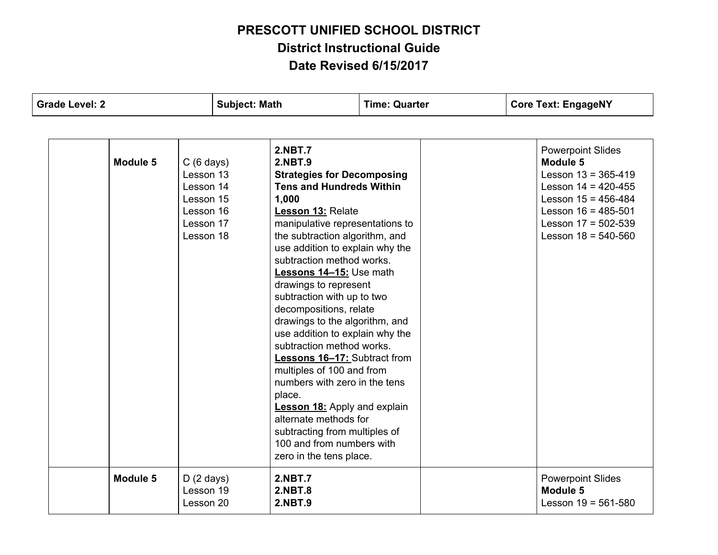| <b>Grade Level: 2</b>                                                                                         | <b>Subject: Math</b>                                                                                                                                                                                                                                                                                                                                                                                                                                                                                                                                                                                                                                                                                                                                                     | <b>Time: Quarter</b> | <b>Core Text: EngageNY</b>                                                                                                                                                                                    |
|---------------------------------------------------------------------------------------------------------------|--------------------------------------------------------------------------------------------------------------------------------------------------------------------------------------------------------------------------------------------------------------------------------------------------------------------------------------------------------------------------------------------------------------------------------------------------------------------------------------------------------------------------------------------------------------------------------------------------------------------------------------------------------------------------------------------------------------------------------------------------------------------------|----------------------|---------------------------------------------------------------------------------------------------------------------------------------------------------------------------------------------------------------|
|                                                                                                               |                                                                                                                                                                                                                                                                                                                                                                                                                                                                                                                                                                                                                                                                                                                                                                          |                      |                                                                                                                                                                                                               |
| Module 5<br>$C(6 \text{ days})$<br>Lesson 13<br>Lesson 14<br>Lesson 15<br>Lesson 16<br>Lesson 17<br>Lesson 18 | <b>2.NBT.7</b><br><b>2.NBT.9</b><br><b>Strategies for Decomposing</b><br><b>Tens and Hundreds Within</b><br>1,000<br><b>Lesson 13: Relate</b><br>manipulative representations to<br>the subtraction algorithm, and<br>use addition to explain why the<br>subtraction method works.<br>Lessons 14-15: Use math<br>drawings to represent<br>subtraction with up to two<br>decompositions, relate<br>drawings to the algorithm, and<br>use addition to explain why the<br>subtraction method works.<br><b>Lessons 16-17: Subtract from</b><br>multiples of 100 and from<br>numbers with zero in the tens<br>place.<br><b>Lesson 18:</b> Apply and explain<br>alternate methods for<br>subtracting from multiples of<br>100 and from numbers with<br>zero in the tens place. |                      | <b>Powerpoint Slides</b><br><b>Module 5</b><br>Lesson $13 = 365 - 419$<br>Lesson $14 = 420 - 455$<br>Lesson $15 = 456 - 484$<br>Lesson $16 = 485 - 501$<br>Lesson $17 = 502 - 539$<br>Lesson $18 = 540 - 560$ |
| Module 5<br>$D(2 \text{ days})$<br>Lesson 19<br>Lesson 20                                                     | <b>2.NBT.7</b><br><b>2.NBT.8</b><br><b>2.NBT.9</b>                                                                                                                                                                                                                                                                                                                                                                                                                                                                                                                                                                                                                                                                                                                       |                      | <b>Powerpoint Slides</b><br>Module 5<br>Lesson $19 = 561 - 580$                                                                                                                                               |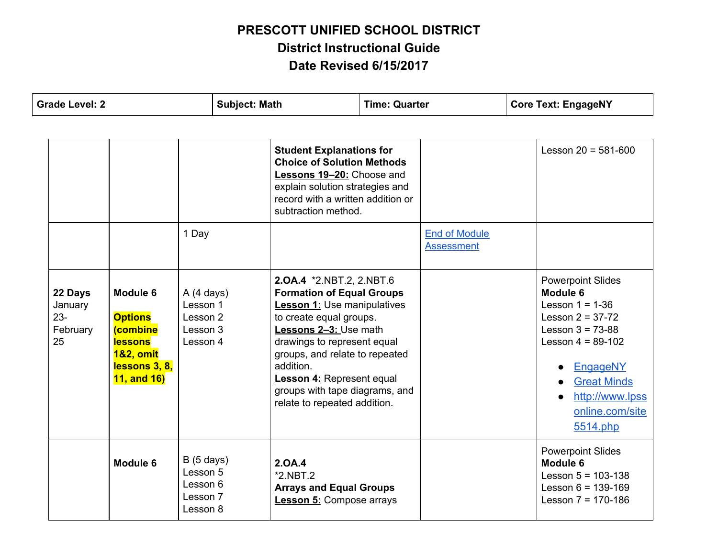|                                                | <b>Grade Level: 2</b>                                                                                                                     |                                                           | <b>Subject: Math</b><br><b>Time: Quarter</b> |                                                                                                                                                                                                                                                                                                                                                   | <b>Core Text: EngageNY</b> |                                           |  |                                                                                                                                                                                                                        |
|------------------------------------------------|-------------------------------------------------------------------------------------------------------------------------------------------|-----------------------------------------------------------|----------------------------------------------|---------------------------------------------------------------------------------------------------------------------------------------------------------------------------------------------------------------------------------------------------------------------------------------------------------------------------------------------------|----------------------------|-------------------------------------------|--|------------------------------------------------------------------------------------------------------------------------------------------------------------------------------------------------------------------------|
|                                                |                                                                                                                                           |                                                           |                                              |                                                                                                                                                                                                                                                                                                                                                   |                            |                                           |  |                                                                                                                                                                                                                        |
|                                                |                                                                                                                                           |                                                           |                                              | <b>Student Explanations for</b><br><b>Choice of Solution Methods</b><br>Lessons 19-20: Choose and<br>explain solution strategies and<br>record with a written addition or<br>subtraction method.                                                                                                                                                  |                            |                                           |  | Lesson $20 = 581 - 600$                                                                                                                                                                                                |
|                                                |                                                                                                                                           | 1 Day                                                     |                                              |                                                                                                                                                                                                                                                                                                                                                   |                            | <b>End of Module</b><br><b>Assessment</b> |  |                                                                                                                                                                                                                        |
| 22 Days<br>January<br>$23 -$<br>February<br>25 | <b>Module 6</b><br><b>Options</b><br><i><b>(combine</b></i><br><b>lessons</b><br><b>1&amp;2, omit</b><br>lessons 3, 8,<br>$11,$ and $16)$ | A(4 days)<br>Lesson 1<br>Lesson 2<br>Lesson 3<br>Lesson 4 |                                              | <b>2.0A.4 *2.NBT.2, 2.NBT.6</b><br><b>Formation of Equal Groups</b><br><b>Lesson 1:</b> Use manipulatives<br>to create equal groups.<br>Lessons 2-3: Use math<br>drawings to represent equal<br>groups, and relate to repeated<br>addition.<br><b>Lesson 4:</b> Represent equal<br>groups with tape diagrams, and<br>relate to repeated addition. |                            |                                           |  | <b>Powerpoint Slides</b><br>Module 6<br>Lesson $1 = 1 - 36$<br>Lesson $2 = 37 - 72$<br>Lesson $3 = 73 - 88$<br>Lesson $4 = 89-102$<br>EngageNY<br><b>Great Minds</b><br>http://www.lpss<br>online.com/site<br>5514.php |
|                                                | Module 6                                                                                                                                  | B(5 days)<br>Lesson 5<br>Lesson 6<br>Lesson 7<br>Lesson 8 |                                              | 2.0A.4<br>$*2.NBT.2$<br><b>Arrays and Equal Groups</b><br><b>Lesson 5: Compose arrays</b>                                                                                                                                                                                                                                                         |                            |                                           |  | <b>Powerpoint Slides</b><br>Module 6<br>Lesson $5 = 103 - 138$<br>Lesson $6 = 139-169$<br>Lesson $7 = 170-186$                                                                                                         |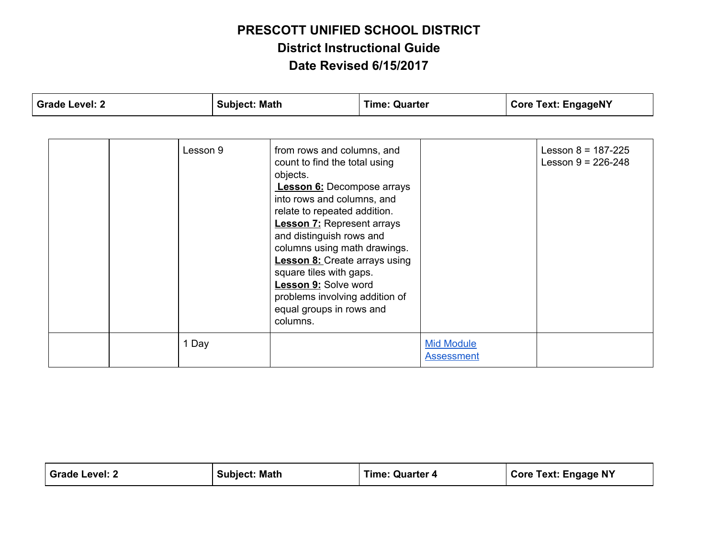| <b>Grade Level: 2</b> | <b>Subject: Math</b>                                                                                                                                                                                                                                                                                                                                                                                                                                    | <b>Time: Quarter</b>                   | <b>Core Text: EngageNY</b>                       |
|-----------------------|---------------------------------------------------------------------------------------------------------------------------------------------------------------------------------------------------------------------------------------------------------------------------------------------------------------------------------------------------------------------------------------------------------------------------------------------------------|----------------------------------------|--------------------------------------------------|
|                       |                                                                                                                                                                                                                                                                                                                                                                                                                                                         |                                        |                                                  |
| Lesson 9              | from rows and columns, and<br>count to find the total using<br>objects.<br><b>Lesson 6:</b> Decompose arrays<br>into rows and columns, and<br>relate to repeated addition.<br><b>Lesson 7: Represent arrays</b><br>and distinguish rows and<br>columns using math drawings.<br><b>Lesson 8:</b> Create arrays using<br>square tiles with gaps.<br><b>Lesson 9: Solve word</b><br>problems involving addition of<br>equal groups in rows and<br>columns. |                                        | Lesson $8 = 187 - 225$<br>Lesson $9 = 226 - 248$ |
| 1 Day                 |                                                                                                                                                                                                                                                                                                                                                                                                                                                         | <b>Mid Module</b><br><b>Assessment</b> |                                                  |

| Grade Level: 2 | <b>Subject: Math</b> | <b>Time: Quarter 4</b> | <b>Core Text: Engage NY</b> |
|----------------|----------------------|------------------------|-----------------------------|
|----------------|----------------------|------------------------|-----------------------------|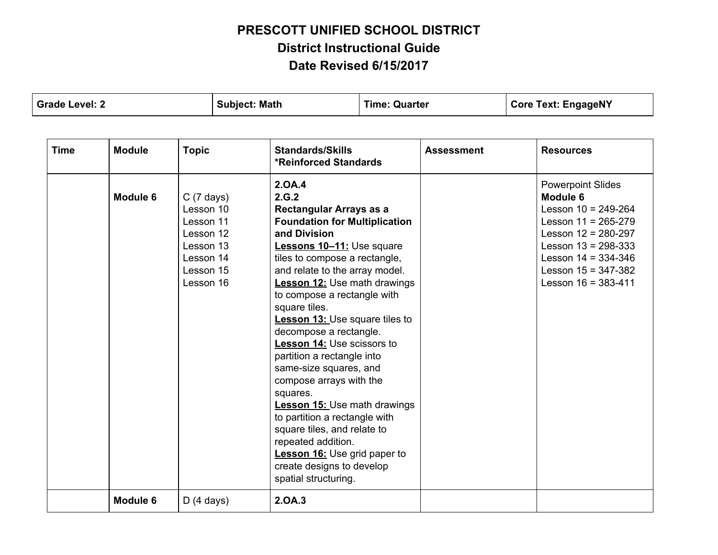| <b>Grade Level: 2</b> |                 |                                                                                                                | <b>Subject: Math</b><br><b>Time: Quarter</b>                                                                                                                                                                                                                                                                                                    |                                                                                                                                                                                                                                                                                                                                                                        |                   | <b>Core Text: EngageNY</b>                                                                                                                                                                                                        |
|-----------------------|-----------------|----------------------------------------------------------------------------------------------------------------|-------------------------------------------------------------------------------------------------------------------------------------------------------------------------------------------------------------------------------------------------------------------------------------------------------------------------------------------------|------------------------------------------------------------------------------------------------------------------------------------------------------------------------------------------------------------------------------------------------------------------------------------------------------------------------------------------------------------------------|-------------------|-----------------------------------------------------------------------------------------------------------------------------------------------------------------------------------------------------------------------------------|
|                       |                 |                                                                                                                |                                                                                                                                                                                                                                                                                                                                                 |                                                                                                                                                                                                                                                                                                                                                                        |                   |                                                                                                                                                                                                                                   |
| <b>Time</b>           | <b>Module</b>   | <b>Topic</b>                                                                                                   | <b>Standards/Skills</b><br><b>*Reinforced Standards</b>                                                                                                                                                                                                                                                                                         |                                                                                                                                                                                                                                                                                                                                                                        | <b>Assessment</b> | <b>Resources</b>                                                                                                                                                                                                                  |
|                       | <b>Module 6</b> | $C(7 \text{ days})$<br>Lesson 10<br>Lesson 11<br>Lesson 12<br>Lesson 13<br>Lesson 14<br>Lesson 15<br>Lesson 16 | 2.0A.4<br>2.G.2<br>Rectangular Arrays as a<br>and Division<br>square tiles.<br>decompose a rectangle.<br>partition a rectangle into<br>same-size squares, and<br>compose arrays with the<br>squares.<br>to partition a rectangle with<br>square tiles, and relate to<br>repeated addition.<br>create designs to develop<br>spatial structuring. | <b>Foundation for Multiplication</b><br>Lessons 10-11: Use square<br>tiles to compose a rectangle,<br>and relate to the array model.<br><b>Lesson 12:</b> Use math drawings<br>to compose a rectangle with<br><b>Lesson 13: Use square tiles to</b><br><b>Lesson 14: Use scissors to</b><br><b>Lesson 15: Use math drawings</b><br><b>Lesson 16:</b> Use grid paper to |                   | <b>Powerpoint Slides</b><br>Module 6<br>Lesson $10 = 249 - 264$<br>Lesson $11 = 265 - 279$<br>Lesson $12 = 280 - 297$<br>Lesson $13 = 298 - 333$<br>Lesson $14 = 334 - 346$<br>Lesson $15 = 347 - 382$<br>Lesson $16 = 383 - 411$ |
|                       | Module 6        | D(4 days)                                                                                                      | 2.0A.3                                                                                                                                                                                                                                                                                                                                          |                                                                                                                                                                                                                                                                                                                                                                        |                   |                                                                                                                                                                                                                                   |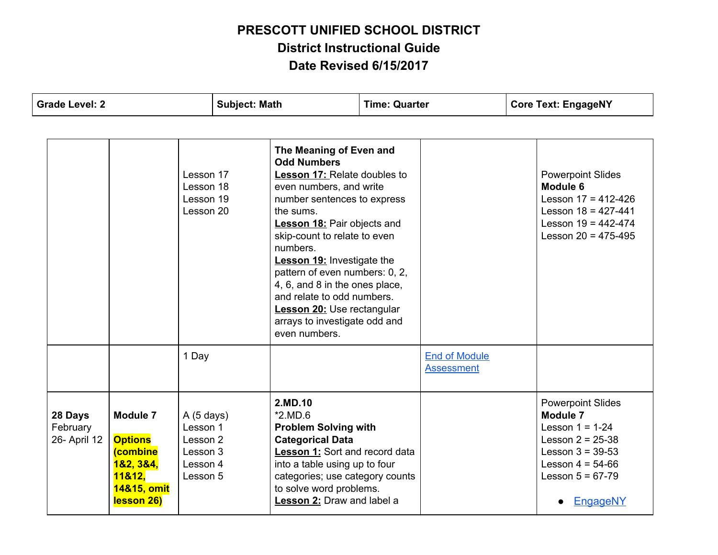| <b>Grade Level: 2</b>               |                                                                                                                 |                                                                       | <b>Subject: Math</b><br><b>Time: Quarter</b>                                                                                                                                                                                                                                                                                                                                                                                                |                                                                                                                                                                                                                                               | <b>Core Text: EngageNY</b> |                                           |                                                                                                                                                  |                                                                                                                                                                            |
|-------------------------------------|-----------------------------------------------------------------------------------------------------------------|-----------------------------------------------------------------------|---------------------------------------------------------------------------------------------------------------------------------------------------------------------------------------------------------------------------------------------------------------------------------------------------------------------------------------------------------------------------------------------------------------------------------------------|-----------------------------------------------------------------------------------------------------------------------------------------------------------------------------------------------------------------------------------------------|----------------------------|-------------------------------------------|--------------------------------------------------------------------------------------------------------------------------------------------------|----------------------------------------------------------------------------------------------------------------------------------------------------------------------------|
|                                     |                                                                                                                 |                                                                       |                                                                                                                                                                                                                                                                                                                                                                                                                                             |                                                                                                                                                                                                                                               |                            |                                           |                                                                                                                                                  |                                                                                                                                                                            |
|                                     | Lesson 17<br>Lesson 18<br>Lesson 19<br>Lesson 20<br>the sums.<br>numbers.                                       |                                                                       | The Meaning of Even and<br><b>Odd Numbers</b><br>Lesson 17: Relate doubles to<br>even numbers, and write<br>number sentences to express<br><b>Lesson 18:</b> Pair objects and<br>skip-count to relate to even<br><b>Lesson 19: Investigate the</b><br>pattern of even numbers: 0, 2,<br>4, 6, and 8 in the ones place,<br>and relate to odd numbers.<br><b>Lesson 20: Use rectangular</b><br>arrays to investigate odd and<br>even numbers. |                                                                                                                                                                                                                                               |                            |                                           | <b>Powerpoint Slides</b><br>Module 6<br>Lesson $17 = 412 - 426$<br>Lesson $18 = 427 - 441$<br>Lesson $19 = 442 - 474$<br>Lesson $20 = 475 - 495$ |                                                                                                                                                                            |
|                                     |                                                                                                                 | 1 Day                                                                 |                                                                                                                                                                                                                                                                                                                                                                                                                                             |                                                                                                                                                                                                                                               |                            | <b>End of Module</b><br><b>Assessment</b> |                                                                                                                                                  |                                                                                                                                                                            |
| 28 Days<br>February<br>26- April 12 | <b>Module 7</b><br><b>Options</b><br><i><b>(combine</b></i><br>182, 384,<br>11&12.<br>14&15, omit<br>lesson 26) | A(5 days)<br>Lesson 1<br>Lesson 2<br>Lesson 3<br>Lesson 4<br>Lesson 5 |                                                                                                                                                                                                                                                                                                                                                                                                                                             | 2.MD.10<br>$*2.MD.6$<br><b>Problem Solving with</b><br><b>Categorical Data</b><br>Lesson 1: Sort and record data<br>into a table using up to four<br>categories; use category counts<br>to solve word problems.<br>Lesson 2: Draw and label a |                            |                                           |                                                                                                                                                  | <b>Powerpoint Slides</b><br>Module 7<br>Lesson $1 = 1-24$<br>Lesson $2 = 25-38$<br>Lesson $3 = 39-53$<br>Lesson $4 = 54-66$<br>Lesson $5 = 67-79$<br>EngageNY<br>$\bullet$ |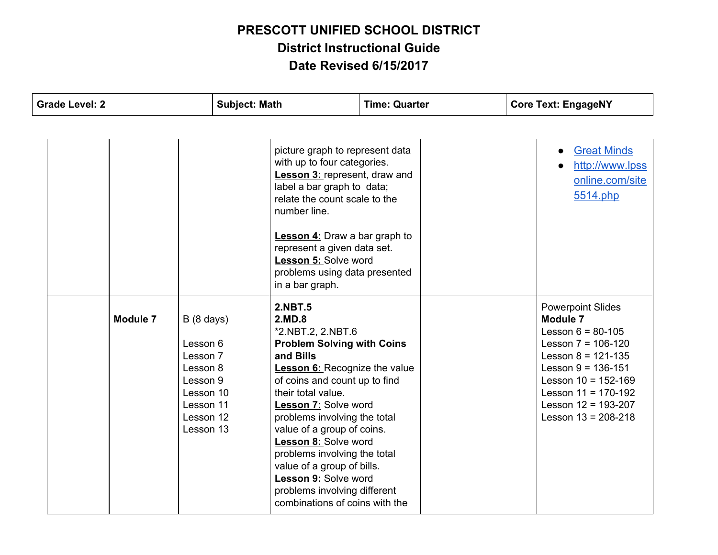| <b>Grade Level: 2</b> | <b>Subject: Math</b>                                                                                                    | <b>Time: Quarter</b>                                                                                                                                                                                                                                                                                                                                                                                                                                                               |  | <b>Core Text: EngageNY</b> |                                                                                                                                                                                                                                                        |
|-----------------------|-------------------------------------------------------------------------------------------------------------------------|------------------------------------------------------------------------------------------------------------------------------------------------------------------------------------------------------------------------------------------------------------------------------------------------------------------------------------------------------------------------------------------------------------------------------------------------------------------------------------|--|----------------------------|--------------------------------------------------------------------------------------------------------------------------------------------------------------------------------------------------------------------------------------------------------|
|                       |                                                                                                                         |                                                                                                                                                                                                                                                                                                                                                                                                                                                                                    |  |                            |                                                                                                                                                                                                                                                        |
|                       |                                                                                                                         | picture graph to represent data<br>with up to four categories.<br><b>Lesson 3: represent, draw and</b><br>label a bar graph to data;<br>relate the count scale to the<br>number line.<br><b>Lesson 4:</b> Draw a bar graph to<br>represent a given data set.<br><b>Lesson 5: Solve word</b><br>problems using data presented<br>in a bar graph.                                                                                                                                    |  |                            | <b>Great Minds</b><br>$\bullet$<br>http://www.lpss<br>online.com/site<br>5514.php                                                                                                                                                                      |
| <b>Module 7</b>       | $B(8 \text{ days})$<br>Lesson 6<br>Lesson 7<br>Lesson 8<br>Lesson 9<br>Lesson 10<br>Lesson 11<br>Lesson 12<br>Lesson 13 | <b>2.NBT.5</b><br>2.MD.8<br>*2.NBT.2, 2.NBT.6<br><b>Problem Solving with Coins</b><br>and Bills<br><b>Lesson 6:</b> Recognize the value<br>of coins and count up to find<br>their total value.<br><b>Lesson 7: Solve word</b><br>problems involving the total<br>value of a group of coins.<br><b>Lesson 8: Solve word</b><br>problems involving the total<br>value of a group of bills.<br>Lesson 9: Solve word<br>problems involving different<br>combinations of coins with the |  |                            | <b>Powerpoint Slides</b><br><b>Module 7</b><br>Lesson $6 = 80-105$<br>Lesson $7 = 106-120$<br>Lesson $8 = 121 - 135$<br>Lesson $9 = 136-151$<br>Lesson $10 = 152 - 169$<br>Lesson $11 = 170-192$<br>Lesson $12 = 193 - 207$<br>Lesson $13 = 208 - 218$ |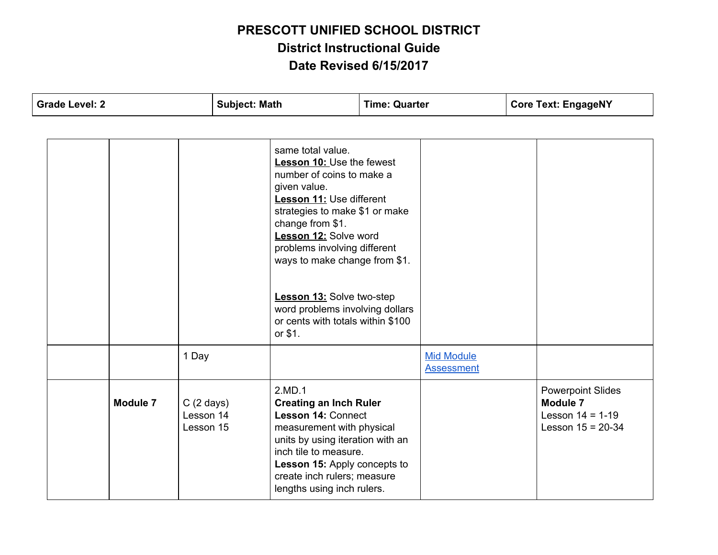| <b>Grade Level: 2</b>                                            | <b>Subject: Math</b>                                                                                                                                                                                                                                                                                                                                                                           | <b>Time: Quarter</b>                   | <b>Core Text: EngageNY</b>                                                        |
|------------------------------------------------------------------|------------------------------------------------------------------------------------------------------------------------------------------------------------------------------------------------------------------------------------------------------------------------------------------------------------------------------------------------------------------------------------------------|----------------------------------------|-----------------------------------------------------------------------------------|
|                                                                  |                                                                                                                                                                                                                                                                                                                                                                                                |                                        |                                                                                   |
|                                                                  | same total value.<br>Lesson 10: Use the fewest<br>number of coins to make a<br>given value.<br>Lesson 11: Use different<br>strategies to make \$1 or make<br>change from \$1.<br>Lesson 12: Solve word<br>problems involving different<br>ways to make change from \$1.<br><b>Lesson 13:</b> Solve two-step<br>word problems involving dollars<br>or cents with totals within \$100<br>or \$1. |                                        |                                                                                   |
| 1 Day                                                            |                                                                                                                                                                                                                                                                                                                                                                                                | <b>Mid Module</b><br><b>Assessment</b> |                                                                                   |
| <b>Module 7</b><br>$C(2 \text{ days})$<br>Lesson 14<br>Lesson 15 | 2.MD.1<br><b>Creating an Inch Ruler</b><br><b>Lesson 14: Connect</b><br>measurement with physical<br>units by using iteration with an<br>inch tile to measure.<br>Lesson 15: Apply concepts to<br>create inch rulers; measure<br>lengths using inch rulers.                                                                                                                                    |                                        | <b>Powerpoint Slides</b><br>Module 7<br>Lesson $14 = 1-19$<br>Lesson $15 = 20-34$ |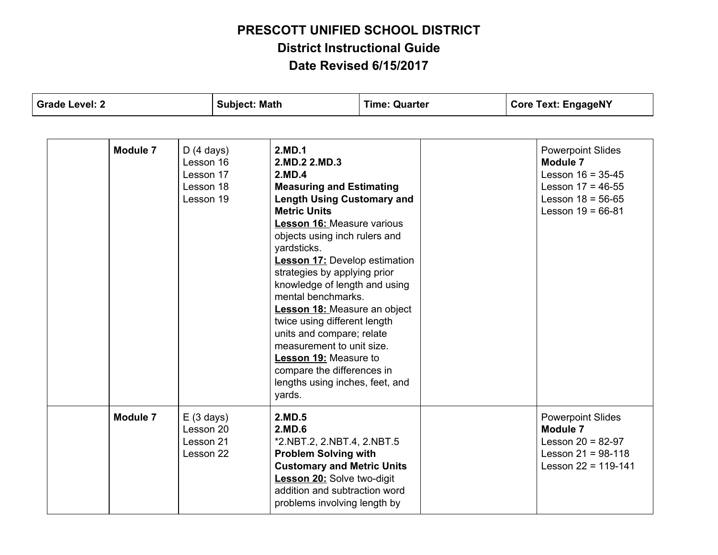| <b>Grade Level: 2</b>                                                     | <b>Subject: Math</b>                                                                                                                                                                                                                                                                                                           | <b>Time: Quarter</b> | <b>Core Text: EngageNY</b>                                                                                                       |  |
|---------------------------------------------------------------------------|--------------------------------------------------------------------------------------------------------------------------------------------------------------------------------------------------------------------------------------------------------------------------------------------------------------------------------|----------------------|----------------------------------------------------------------------------------------------------------------------------------|--|
| Module 7<br>D(4 days)<br>Lesson 16<br>Lesson 17<br>Lesson 18<br>Lesson 19 | 2.MD.1<br>2.MD.2 2.MD.3<br>2.MD.4<br><b>Measuring and Estimating</b><br><b>Length Using Customary and</b><br><b>Metric Units</b><br><b>Lesson 16: Measure various</b><br>objects using inch rulers and<br>yardsticks.<br><b>Lesson 17:</b> Develop estimation<br>strategies by applying prior<br>knowledge of length and using |                      | <b>Powerpoint Slides</b><br>Module 7<br>Lesson $16 = 35-45$<br>Lesson $17 = 46-55$<br>Lesson $18 = 56-65$<br>Lesson $19 = 66-81$ |  |
|                                                                           | mental benchmarks.<br><b>Lesson 18: Measure an object</b><br>twice using different length<br>units and compare; relate<br>measurement to unit size.<br>Lesson 19: Measure to<br>compare the differences in<br>lengths using inches, feet, and<br>yards.                                                                        |                      |                                                                                                                                  |  |
| Module 7<br>E(3 days)<br>Lesson 20<br>Lesson 21<br>Lesson 22              | 2.MD.5<br>2.MD.6<br>*2.NBT.2, 2.NBT.4, 2.NBT.5<br><b>Problem Solving with</b><br><b>Customary and Metric Units</b><br><b>Lesson 20:</b> Solve two-digit<br>addition and subtraction word<br>problems involving length by                                                                                                       |                      | <b>Powerpoint Slides</b><br><b>Module 7</b><br>Lesson $20 = 82-97$<br>Lesson $21 = 98-118$<br>Lesson $22 = 119-141$              |  |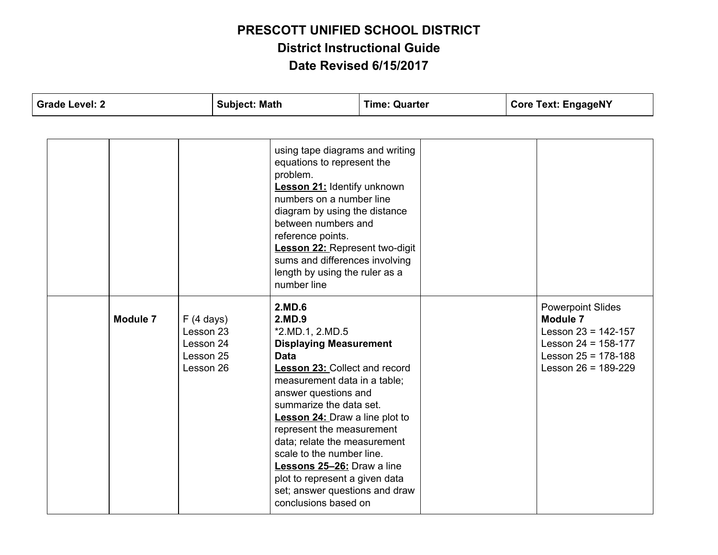| <b>Grade Level: 2</b> |  | <b>Subject: Math</b> |                                                               | <b>Time: Quarter</b> |                                                                                                                                                                                                                                                                                                                                                                                                                                                                             | <b>Core Text: EngageNY</b> |  |  |                                                                                                                                                     |
|-----------------------|--|----------------------|---------------------------------------------------------------|----------------------|-----------------------------------------------------------------------------------------------------------------------------------------------------------------------------------------------------------------------------------------------------------------------------------------------------------------------------------------------------------------------------------------------------------------------------------------------------------------------------|----------------------------|--|--|-----------------------------------------------------------------------------------------------------------------------------------------------------|
|                       |  |                      |                                                               |                      |                                                                                                                                                                                                                                                                                                                                                                                                                                                                             |                            |  |  |                                                                                                                                                     |
|                       |  |                      |                                                               |                      | using tape diagrams and writing<br>equations to represent the<br>problem.<br><b>Lesson 21:</b> Identify unknown<br>numbers on a number line<br>diagram by using the distance<br>between numbers and<br>reference points.<br><b>Lesson 22: Represent two-digit</b><br>sums and differences involving<br>length by using the ruler as a<br>number line                                                                                                                        |                            |  |  |                                                                                                                                                     |
|                       |  | Module 7             | F(4 days)<br>Lesson 23<br>Lesson 24<br>Lesson 25<br>Lesson 26 |                      | 2.MD.6<br>2.MD.9<br>*2.MD.1, 2.MD.5<br><b>Displaying Measurement</b><br><b>Data</b><br><b>Lesson 23: Collect and record</b><br>measurement data in a table;<br>answer questions and<br>summarize the data set.<br><b>Lesson 24:</b> Draw a line plot to<br>represent the measurement<br>data; relate the measurement<br>scale to the number line.<br>Lessons 25-26: Draw a line<br>plot to represent a given data<br>set; answer questions and draw<br>conclusions based on |                            |  |  | <b>Powerpoint Slides</b><br><b>Module 7</b><br>Lesson $23 = 142 - 157$<br>Lesson $24 = 158-177$<br>Lesson $25 = 178-188$<br>Lesson $26 = 189 - 229$ |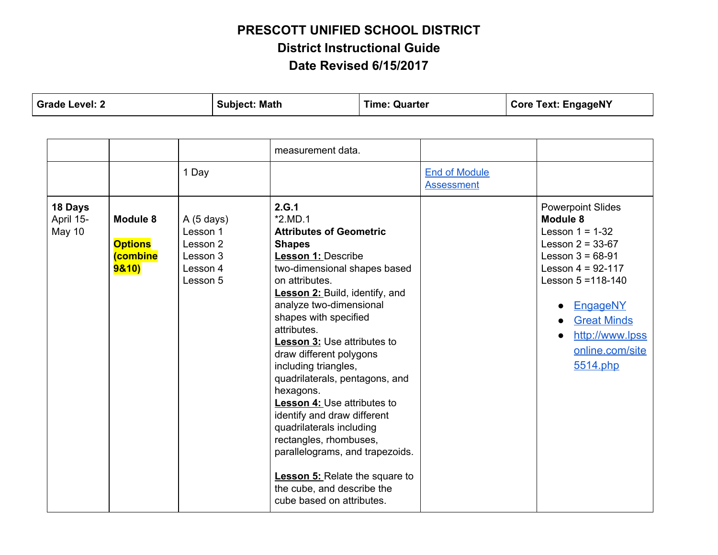**Grade Level: 2 Subject: Math Time: Quarter Core Text: EngageNY**

|                                |                                                                   |                                                                       | measurement data.                                                                                                                                                                                                                                                                                                                                                                                                                                                                                                                                                                                                                                                          |                                           |                                                                                                                                                                                                                                                                        |
|--------------------------------|-------------------------------------------------------------------|-----------------------------------------------------------------------|----------------------------------------------------------------------------------------------------------------------------------------------------------------------------------------------------------------------------------------------------------------------------------------------------------------------------------------------------------------------------------------------------------------------------------------------------------------------------------------------------------------------------------------------------------------------------------------------------------------------------------------------------------------------------|-------------------------------------------|------------------------------------------------------------------------------------------------------------------------------------------------------------------------------------------------------------------------------------------------------------------------|
|                                |                                                                   | 1 Day                                                                 |                                                                                                                                                                                                                                                                                                                                                                                                                                                                                                                                                                                                                                                                            | <b>End of Module</b><br><b>Assessment</b> |                                                                                                                                                                                                                                                                        |
| 18 Days<br>April 15-<br>May 10 | Module 8<br><b>Options</b><br><b>(combine</b><br><b>9&amp;10)</b> | A(5 days)<br>Lesson 1<br>Lesson 2<br>Lesson 3<br>Lesson 4<br>Lesson 5 | 2.G.1<br>$*2.MD.1$<br><b>Attributes of Geometric</b><br><b>Shapes</b><br><b>Lesson 1: Describe</b><br>two-dimensional shapes based<br>on attributes.<br><b>Lesson 2: Build, identify, and</b><br>analyze two-dimensional<br>shapes with specified<br>attributes.<br><b>Lesson 3: Use attributes to</b><br>draw different polygons<br>including triangles,<br>quadrilaterals, pentagons, and<br>hexagons.<br><b>Lesson 4: Use attributes to</b><br>identify and draw different<br>quadrilaterals including<br>rectangles, rhombuses,<br>parallelograms, and trapezoids.<br><b>Lesson 5:</b> Relate the square to<br>the cube, and describe the<br>cube based on attributes. |                                           | <b>Powerpoint Slides</b><br>Module 8<br>Lesson $1 = 1-32$<br>Lesson $2 = 33-67$<br>Lesson $3 = 68-91$<br>Lesson $4 = 92 - 117$<br>Lesson $5 = 118 - 140$<br>EngageNY<br>$\bullet$<br><b>Great Minds</b><br>$\bullet$<br>http://www.lpss<br>online.com/site<br>5514.php |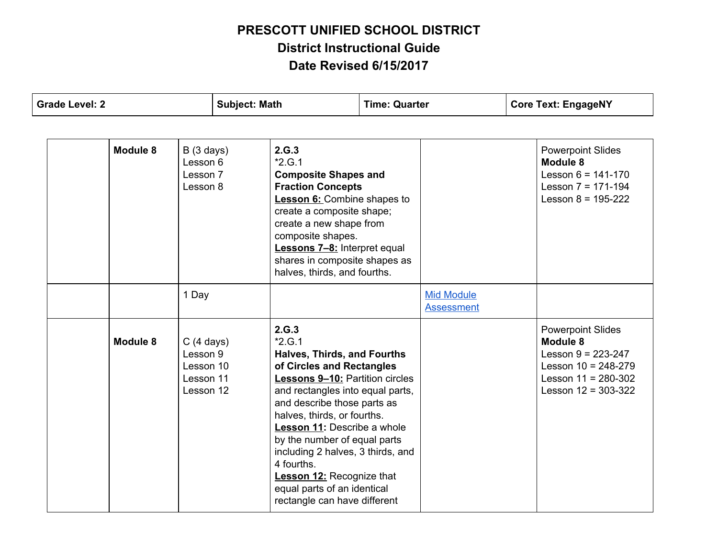| <b>Grade Level: 2</b> |          | <b>Subject: Math</b>                                                   |  | <b>Time: Quarter</b>                                                                                                                                                                                                                                                                                                                                                                                                                                  |  | <b>Core Text: EngageNY</b>             |  |                                                                                                                                               |
|-----------------------|----------|------------------------------------------------------------------------|--|-------------------------------------------------------------------------------------------------------------------------------------------------------------------------------------------------------------------------------------------------------------------------------------------------------------------------------------------------------------------------------------------------------------------------------------------------------|--|----------------------------------------|--|-----------------------------------------------------------------------------------------------------------------------------------------------|
|                       |          |                                                                        |  |                                                                                                                                                                                                                                                                                                                                                                                                                                                       |  |                                        |  |                                                                                                                                               |
|                       | Module 8 | B(3 days)<br>Lesson 6<br>Lesson 7<br>Lesson 8                          |  | 2.G.3<br>$*2.G.1$<br><b>Composite Shapes and</b><br><b>Fraction Concepts</b><br><b>Lesson 6:</b> Combine shapes to<br>create a composite shape;<br>create a new shape from<br>composite shapes.<br><b>Lessons 7-8:</b> Interpret equal<br>shares in composite shapes as<br>halves, thirds, and fourths.                                                                                                                                               |  |                                        |  | <b>Powerpoint Slides</b><br><b>Module 8</b><br>Lesson $6 = 141 - 170$<br>Lesson $7 = 171-194$<br>Lesson $8 = 195-222$                         |
|                       |          | 1 Day                                                                  |  |                                                                                                                                                                                                                                                                                                                                                                                                                                                       |  | <b>Mid Module</b><br><b>Assessment</b> |  |                                                                                                                                               |
|                       | Module 8 | $C(4 \text{ days})$<br>Lesson 9<br>Lesson 10<br>Lesson 11<br>Lesson 12 |  | 2.G.3<br>$*2.G.1$<br><b>Halves, Thirds, and Fourths</b><br>of Circles and Rectangles<br><b>Lessons 9-10:</b> Partition circles<br>and rectangles into equal parts,<br>and describe those parts as<br>halves, thirds, or fourths.<br>Lesson 11: Describe a whole<br>by the number of equal parts<br>including 2 halves, 3 thirds, and<br>4 fourths.<br><b>Lesson 12: Recognize that</b><br>equal parts of an identical<br>rectangle can have different |  |                                        |  | <b>Powerpoint Slides</b><br>Module 8<br>Lesson $9 = 223 - 247$<br>Lesson $10 = 248-279$<br>Lesson $11 = 280 - 302$<br>Lesson $12 = 303 - 322$ |